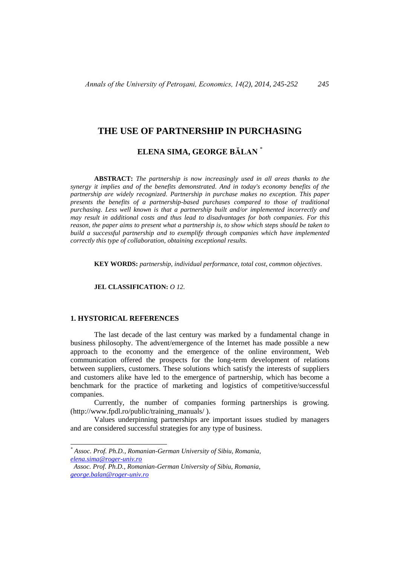# **THE USE OF PARTNERSHIP IN PURCHASING**

# **ELENA SIMA, GEORGE BĂLAN** \*

**ABSTRACT:** *The partnership is now increasingly used in all areas thanks to the synergy it implies and of the benefits demonstrated. And in today's economy benefits of the partnership are widely recognized. Partnership in purchase makes no exception. This paper presents the benefits of a partnership-based purchases compared to those of traditional purchasing. Less well known is that a partnership built and/or implemented incorrectly and may result in additional costs and thus lead to disadvantages for both companies. For this reason, the paper aims to present what a partnership is, to show which steps should be taken to build a successful partnership and to exemplify through companies which have implemented correctly this type of collaboration, obtaining exceptional results.*

**KEY WORDS:** *partnership, individual performance, total cost, common objectives.*

**JEL CLASSIFICATION:** *O 12.*

### **1. HYSTORICAL REFERENCES**

l

The last decade of the last century was marked by a fundamental change in business philosophy. The advent/emergence of the Internet has made possible a new approach to the economy and the emergence of the online environment, Web communication offered the prospects for the long-term development of relations between suppliers, customers. These solutions which satisfy the interests of suppliers and customers alike have led to the emergence of partnership, which has become a benchmark for the practice of marketing and logistics of competitive/successful companies.

Currently, the number of companies forming partnerships is growing. [\(http://www.fpdl.ro/public/training\\_manuals/ \)](http://www.fpdl.ro/public/training_manuals/%20EFFICIENT%20PARTNERSHIPS/RO%20PARTNERIATE%20EFICIENTE_V4_9%20OCTOMBRIE%202007.pdf).

Values underpinning partnerships are important issues studied by managers and are considered successful strategies for any type of business.

*<sup>\*</sup> Assoc. Prof. Ph.D., Romanian-German University of Sibiu, Romania, [elena.sima@roger-univ.ro](mailto:elena.sima@roger-univ.ro)*

*Assoc. Prof. Ph.D., Romanian-German University of Sibiu, Romania, [george.balan@roger-univ.ro](mailto:george.balan@roger-univ.ro)*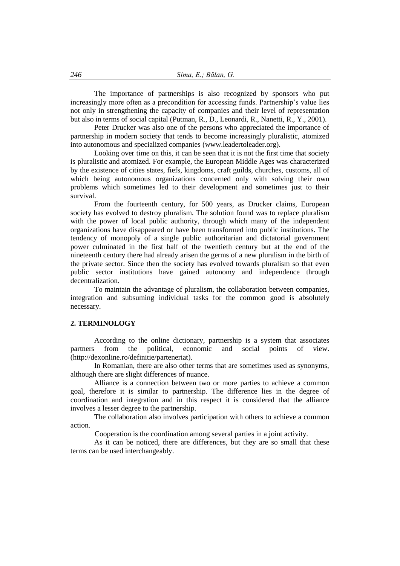The importance of partnerships is also recognized by sponsors who put increasingly more often as a precondition for accessing funds. Partnership's value lies not only in strengthening the capacity of companies and their level of representation but also in terms of social capital (Putman, R., D., Leonardi, R., Nanetti, R., Y., 2001).

Peter Drucker was also one of the persons who appreciated the importance of partnership in modern society that tends to become increasingly pluralistic, atomized into autonomous and specialized companies (www.leadertoleader.org).

Looking over time on this, it can be seen that it is not the first time that society is pluralistic and atomized. For example, the European Middle Ages was characterized by the existence of cities states, fiefs, kingdoms, craft guilds, churches, customs, all of which being autonomous organizations concerned only with solving their own problems which sometimes led to their development and sometimes just to their survival.

From the fourteenth century, for 500 years, as Drucker claims, European society has evolved to destroy pluralism. The solution found was to replace pluralism with the power of local public authority, through which many of the independent organizations have disappeared or have been transformed into public institutions. The tendency of monopoly of a single public authoritarian and dictatorial government power culminated in the first half of the twentieth century but at the end of the nineteenth century there had already arisen the germs of a new pluralism in the birth of the private sector. Since then the society has evolved towards pluralism so that even public sector institutions have gained autonomy and independence through decentralization.

To maintain the advantage of pluralism, the collaboration between companies, integration and subsuming individual tasks for the common good is absolutely necessary.

## **2. TERMINOLOGY**

According to the online dictionary, partnership is a system that associates partners from the political, economic and social points of view. [\(http://dexonline.ro/definitie/parteneriat\)](http://dexonline.ro/definitie/parteneriat).

In Romanian, there are also other terms that are sometimes used as synonyms, although there are slight differences of nuance.

Alliance is a connection between two or more parties to achieve a common goal, therefore it is similar to partnership. The difference lies in the degree of coordination and integration and in this respect it is considered that the alliance involves a lesser degree to the partnership.

The collaboration also involves participation with others to achieve a common action.

Cooperation is the coordination among several parties in a joint activity.

As it can be noticed, there are differences, but they are so small that these terms can be used interchangeably.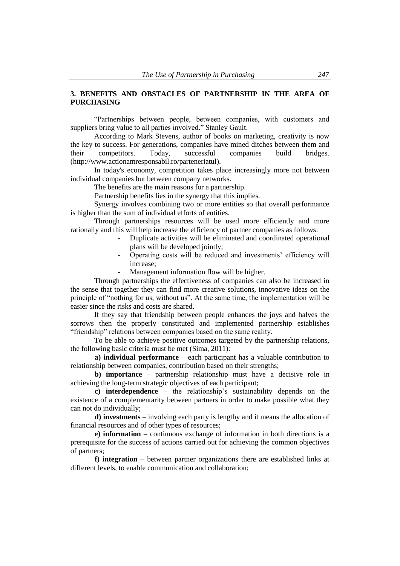## **3. BENEFITS AND OBSTACLES OF PARTNERSHIP IN THE AREA OF PURCHASING**

"Partnerships between people, between companies, with customers and suppliers bring value to all parties involved." Stanley Gault.

According to Mark Stevens, author of books on marketing, creativity is now the key to success. For generations, companies have mined ditches between them and their competitors. Today, successful companies build bridges. (http://www.actionamresponsabil.ro/parteneriatul).

In today's economy, competition takes place increasingly more not between individual companies but between company networks.

The benefits are the main reasons for a partnership.

Partnership benefits lies in the synergy that this implies.

Synergy involves combining two or more entities so that overall performance is higher than the sum of individual efforts of entities.

Through partnerships resources will be used more efficiently and more rationally and this will help increase the efficiency of partner companies as follows:

- Duplicate activities will be eliminated and coordinated operational plans will be developed jointly;
- Operating costs will be reduced and investments' efficiency will increase;
- Management information flow will be higher.

Through partnerships the effectiveness of companies can also be increased in the sense that together they can find more creative solutions, innovative ideas on the principle of "nothing for us, without us". At the same time, the implementation will be easier since the risks and costs are shared.

If they say that friendship between people enhances the joys and halves the sorrows then the properly constituted and implemented partnership establishes "friendship" relations between companies based on the same reality.

To be able to achieve positive outcomes targeted by the partnership relations, the following basic criteria must be met (Sima, 2011):

**a) individual performance** – each participant has a valuable contribution to relationship between companies, contribution based on their strengths;

**b) importance** – partnership relationship must have a decisive role in achieving the long-term strategic objectives of each participant;

**c) interdependence** – the relationship's sustainability depends on the existence of a complementarity between partners in order to make possible what they can not do individually;

**d) investments** – involving each party is lengthy and it means the allocation of financial resources and of other types of resources;

**e) information** – continuous exchange of information in both directions is a prerequisite for the success of actions carried out for achieving the common objectives of partners;

**f) integration** – between partner organizations there are established links at different levels, to enable communication and collaboration;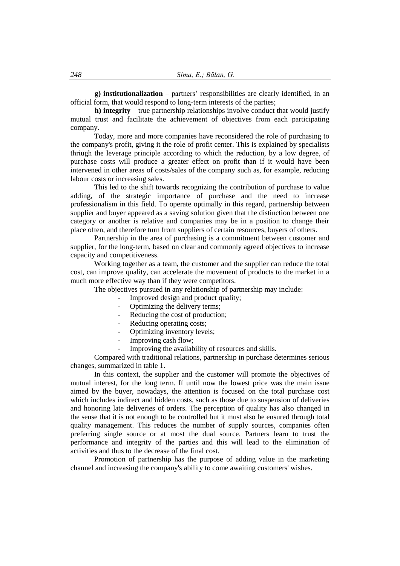**g) institutionalization** – partners' responsibilities are clearly identified, in an official form, that would respond to long-term interests of the parties;

**h) integrity** – true partnership relationships involve conduct that would justify mutual trust and facilitate the achievement of objectives from each participating company.

Today, more and more companies have reconsidered the role of purchasing to the company's profit, giving it the role of profit center. This is explained by specialists thriugh the leverage principle according to which the reduction, by a low degree, of purchase costs will produce a greater effect on profit than if it would have been intervened in other areas of costs/sales of the company such as, for example, reducing labour costs or increasing sales.

This led to the shift towards recognizing the contribution of purchase to value adding, of the strategic importance of purchase and the need to increase professionalism in this field. To operate optimally in this regard, partnership between supplier and buyer appeared as a saving solution given that the distinction between one category or another is relative and companies may be in a position to change their place often, and therefore turn from suppliers of certain resources, buyers of others.

Partnership in the area of purchasing is a commitment between customer and supplier, for the long-term, based on clear and commonly agreed objectives to increase capacity and competitiveness.

Working together as a team, the customer and the supplier can reduce the total cost, can improve quality, can accelerate the movement of products to the market in a much more effective way than if they were competitors.

The objectives pursued in any relationship of partnership may include:

- Improved design and product quality;
- Optimizing the delivery terms:
- Reducing the cost of production;
- Reducing operating costs;
- Optimizing inventory levels;
- Improving cash flow;
- Improving the availability of resources and skills.

Compared with traditional relations, partnership in purchase determines serious changes, summarized in table 1.

In this context, the supplier and the customer will promote the objectives of mutual interest, for the long term. If until now the lowest price was the main issue aimed by the buyer, nowadays, the attention is focused on the total purchase cost which includes indirect and hidden costs, such as those due to suspension of deliveries and honoring late deliveries of orders. The perception of quality has also changed in the sense that it is not enough to be controlled but it must also be ensured through total quality management. This reduces the number of supply sources, companies often preferring single source or at most the dual source. Partners learn to trust the performance and integrity of the parties and this will lead to the elimination of activities and thus to the decrease of the final cost.

Promotion of partnership has the purpose of adding value in the marketing channel and increasing the company's ability to come awaiting customers' wishes.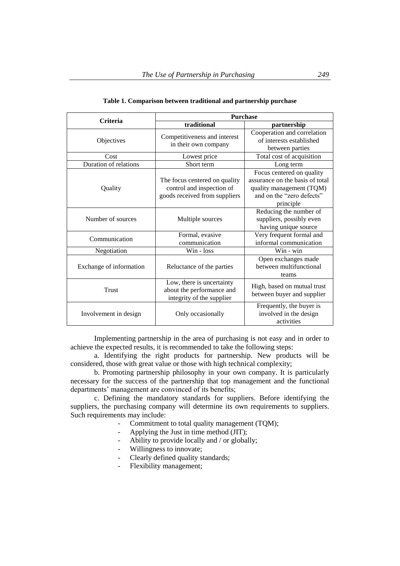| <b>Criteria</b>         | <b>Purchase</b>                                                                             |                                                                                                                                    |
|-------------------------|---------------------------------------------------------------------------------------------|------------------------------------------------------------------------------------------------------------------------------------|
|                         | traditional                                                                                 | partnership                                                                                                                        |
| Objectives              | Competitiveness and interest<br>in their own company                                        | Cooperation and correlation<br>of interests established<br>between parties                                                         |
| Cost                    | Lowest price                                                                                | Total cost of acquisition                                                                                                          |
| Duration of relations   | Short term                                                                                  | Long term                                                                                                                          |
| Quality                 | The focus centered on quality<br>control and inspection of<br>goods received from suppliers | Focus centered on quality<br>assurance on the basis of total<br>quality management (TQM)<br>and on the "zero defects"<br>principle |
| Number of sources       | Multiple sources                                                                            | Reducing the number of<br>suppliers, possibly even<br>having unique source                                                         |
| Communication           | Formal, evasive<br>communication                                                            | Very frequent formal and<br>informal communication                                                                                 |
| Negotiation             | $Win - loss$                                                                                | Win - win                                                                                                                          |
| Exchange of information | Reluctance of the parties                                                                   | Open exchanges made<br>between multifunctional<br>teams                                                                            |
| Trust                   | Low, there is uncertainty<br>about the performance and<br>integrity of the supplier         | High, based on mutual trust<br>between buyer and supplier                                                                          |
| Involvement in design   | Only occasionally                                                                           | Frequently, the buyer is<br>involved in the design<br>activities                                                                   |

### **Table 1. Comparison between traditional and partnership purchase**

Implementing partnership in the area of purchasing is not easy and in order to achieve the expected results, it is recommended to take the following steps:

a. Identifying the right products for partnership. New products will be considered, those with great value or those with high technical complexity;

b. Promoting partnership philosophy in your own company. It is particularly necessary for the success of the partnership that top management and the functional departments' management are convinced of its benefits;

c. Defining the mandatory standards for suppliers. Before identifying the suppliers, the purchasing company will determine its own requirements to suppliers. Such requirements may include:

- Commitment to total quality management (TQM);
- Applying the Just in time method (JIT);
- Ability to provide locally and / or globally;
- Willingness to innovate;
- Clearly defined quality standards;
- Flexibility management;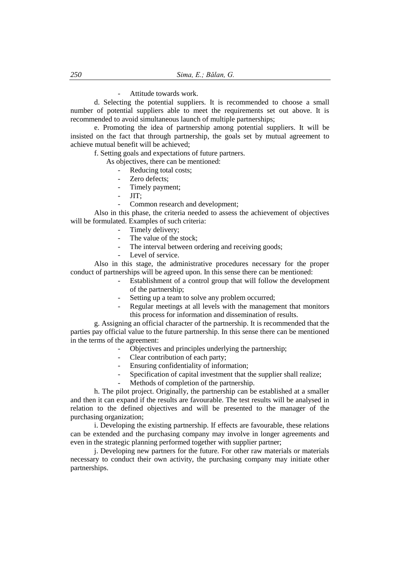Attitude towards work.

d. Selecting the potential suppliers. It is recommended to choose a small number of potential suppliers able to meet the requirements set out above. It is recommended to avoid simultaneous launch of multiple partnerships;

e. Promoting the idea of partnership among potential suppliers. It will be insisted on the fact that through partnership, the goals set by mutual agreement to achieve mutual benefit will be achieved;

f. Setting goals and expectations of future partners.

As objectives, there can be mentioned:

- Reducing total costs;
- Zero defects:
- Timely payment;
- $-$  JIT:
- Common research and development;

Also in this phase, the criteria needed to assess the achievement of objectives will be formulated. Examples of such criteria:

- Timely delivery;
- The value of the stock;
- The interval between ordering and receiving goods;
- Level of service.

Also in this stage, the administrative procedures necessary for the proper conduct of partnerships will be agreed upon. In this sense there can be mentioned:

- Establishment of a control group that will follow the development of the partnership;
- Setting up a team to solve any problem occurred;
- Regular meetings at all levels with the management that monitors this process for information and dissemination of results.

g. Assigning an official character of the partnership. It is recommended that the parties pay official value to the future partnership. In this sense there can be mentioned in the terms of the agreement:

- Objectives and principles underlying the partnership;
- Clear contribution of each party;
- Ensuring confidentiality of information;
- Specification of capital investment that the supplier shall realize;
- Methods of completion of the partnership.

h. The pilot project. Originally, the partnership can be established at a smaller and then it can expand if the results are favourable. The test results will be analysed in relation to the defined objectives and will be presented to the manager of the purchasing organization;

i. Developing the existing partnership. If effects are favourable, these relations can be extended and the purchasing company may involve in longer agreements and even in the strategic planning performed together with supplier partner;

j. Developing new partners for the future. For other raw materials or materials necessary to conduct their own activity, the purchasing company may initiate other partnerships.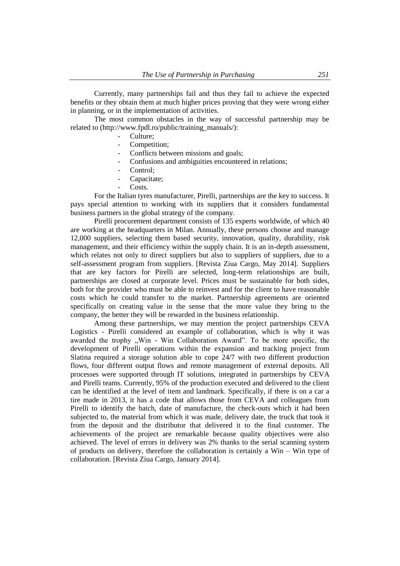Currently, many partnerships fail and thus they fail to achieve the expected benefits or they obtain them at much higher prices proving that they were wrong either in planning, or in the implementation of activities.

The most common obstacles in the way of successful partnership may be related to (http://www.fpdl.ro/public/training\_manuals/):

- Culture:
- Competition;
- Conflicts between missions and goals;
- Confusions and ambiguities encountered in relations;
- Control:
- Capacitate:
- Costs.

For the Italian tyres manufacturer, Pirelli, partnerships are the key to success. It pays special attention to working with its suppliers that it considers fundamental business partners in the global strategy of the company.

Pirelli procurement department consists of 135 experts worldwide, of which 40 are working at the headquarters in Milan. Annually, these persons choose and manage 12,000 suppliers, selecting them based security, innovation, quality, durability, risk management, and their efficiency within the supply chain. It is an in-depth assessment, which relates not only to direct suppliers but also to suppliers of suppliers, due to a self-assessment program from suppliers. [Revista Ziua Cargo, May 2014]. Suppliers that are key factors for Pirelli are selected, long-term relationships are built, partnerships are closed at corporate level. Prices must be sustainable for both sides, both for the provider who must be able to reinvest and for the client to have reasonable costs which he could transfer to the market. Partnership agreements are oriented specifically on creating value in the sense that the more value they bring to the company, the better they will be rewarded in the business relationship.

Among these partnerships, we may mention the project partnerships CEVA Logistics - Pirelli considered an example of collaboration, which is why it was awarded the trophy "Win - Win Collaboration Award". To be more specific, the development of Pirelli operations within the expansion and tracking project from Slatina required a storage solution able to cope 24/7 with two different production flows, four different output flows and remote management of external deposits. All processes were supported through IT solutions, integrated in partnerships by CEVA and Pirelli teams. Currently, 95% of the production executed and delivered to the client can be identified at the level of item and landmark. Specifically, if there is on a car a tire made in 2013, it has a code that allows those from CEVA and colleagues from Pirelli to identify the batch, date of manufacture, the check-outs which it had been subjected to, the material from which it was made, delivery date, the truck that took it from the deposit and the distributor that delivered it to the final customer. The achievements of the project are remarkable because quality objectives were also achieved. The level of errors in delivery was 2% thanks to the serial scanning system of products on delivery, therefore the collaboration is certainly a Win – Win type of collaboration. [Revista Ziua Cargo, January 2014].